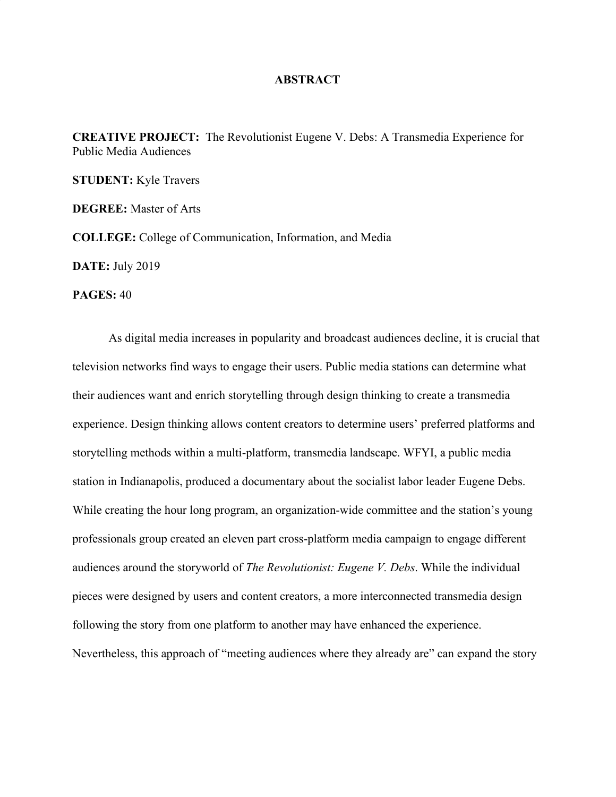## **ABSTRACT**

**CREATIVE PROJECT:** The Revolutionist Eugene V. Debs: A Transmedia Experience for Public Media Audiences

**STUDENT:** Kyle Travers

**DEGREE:** Master of Arts

**COLLEGE:** College of Communication, Information, and Media

**DATE:** July 2019

**PAGES:** 40

As digital media increases in popularity and broadcast audiences decline, it is crucial that television networks find ways to engage their users. Public media stations can determine what their audiences want and enrich storytelling through design thinking to create a transmedia experience. Design thinking allows content creators to determine users' preferred platforms and storytelling methods within a multi-platform, transmedia landscape. WFYI, a public media station in Indianapolis, produced a documentary about the socialist labor leader Eugene Debs. While creating the hour long program, an organization-wide committee and the station's young professionals group created an eleven part cross-platform media campaign to engage different audiences around the storyworld of *The Revolutionist: Eugene V. Debs*. While the individual pieces were designed by users and content creators, a more interconnected transmedia design following the story from one platform to another may have enhanced the experience. Nevertheless, this approach of "meeting audiences where they already are" can expand the story